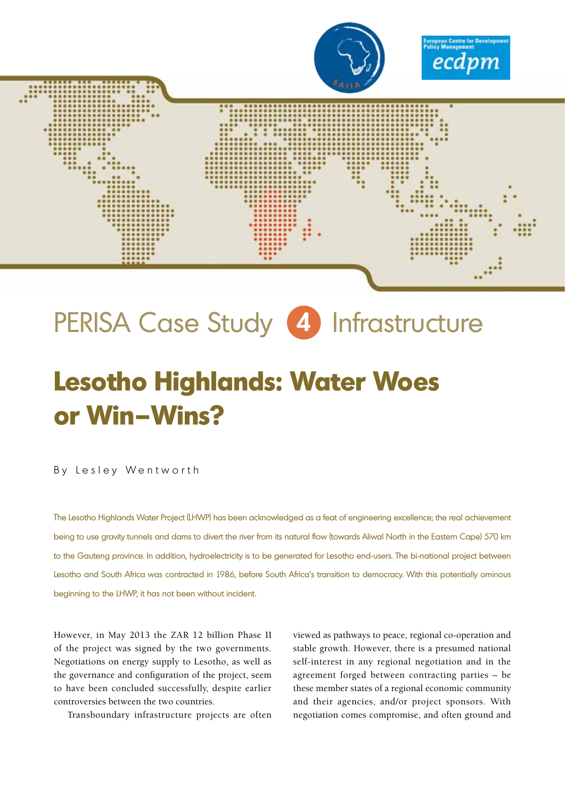

# PERISA Case Study **4** Infrastructure

## **Lesotho Highlands: Water Woes or Win–Wins?**

By Lesley Wentworth

The Lesotho Highlands Water Project (LHWP) has been acknowledged as a feat of engineering excellence; the real achievement being to use gravity tunnels and dams to divert the river from its natural flow (towards Aliwal North in the Eastern Cape) 570 km to the Gauteng province. In addition, hydroelectricity is to be generated for Lesotho end-users. The bi-national project between Lesotho and South Africa was contracted in 1986, before South Africa's transition to democracy. With this potentially ominous beginning to the LHWP, it has not been without incident.

However, in May 2013 the ZAR 12 billion Phase II of the project was signed by the two governments. Negotiations on energy supply to Lesotho, as well as the governance and configuration of the project, seem to have been concluded successfully, despite earlier controversies between the two countries.

Transboundary infrastructure projects are often

viewed as pathways to peace, regional co-operation and stable growth. However, there is a presumed national self-interest in any regional negotiation and in the agreement forged between contracting parties – be these member states of a regional economic community and their agencies, and/or project sponsors. With negotiation comes compromise, and often ground and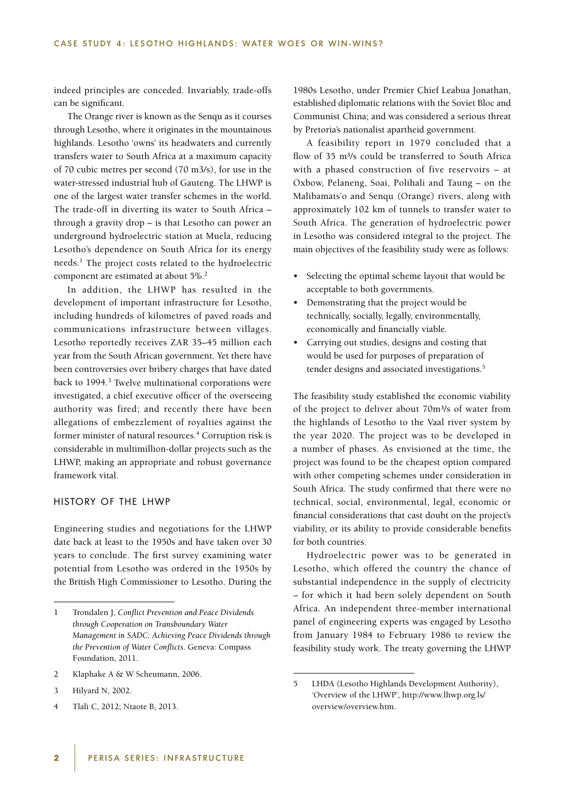indeed principles are conceded. Invariably, trade-offs can be significant.

The Orange river is known as the Senqu as it courses through Lesotho, where it originates in the mountainous highlands. Lesotho 'owns' its headwaters and currently transfers water to South Africa at a maximum capacity of 70 cubic metres per second (70 m3/s), for use in the water-stressed industrial hub of Gauteng. The LHWP is one of the largest water transfer schemes in the world. The trade-off in diverting its water to South Africa – through a gravity drop – is that Lesotho can power an underground hydroelectric station at Muela, reducing Lesotho's dependence on South Africa for its energy needs.<sup>1</sup> The project costs related to the hydroelectric component are estimated at about 5%.<sup>2</sup>

In addition, the LHWP has resulted in the development of important infrastructure for Lesotho, including hundreds of kilometres of paved roads and communications infrastructure between villages. Lesotho reportedly receives ZAR 35–45 million each year from the South African government. Yet there have been controversies over bribery charges that have dated back to 1994.<sup>3</sup> Twelve multinational corporations were investigated, a chief executive officer of the overseeing authority was fired; and recently there have been allegations of embezzlement of royalties against the former minister of natural resources.<sup>4</sup> Corruption risk is considerable in multimillion-dollar projects such as the LHWP, making an appropriate and robust governance framework vital.

## HISTORY OF THE LHWP

Engineering studies and negotiations for the LHWP date back at least to the 1950s and have taken over 30 years to conclude. The first survey examining water potential from Lesotho was ordered in the 1950s by the British High Commissioner to Lesotho. During the

4 Tlali C, 2012; Ntaote B, 2013.

1980s Lesotho, under Premier Chief Leabua Jonathan, established diplomatic relations with the Soviet Bloc and Communist China; and was considered a serious threat by Pretoria's nationalist apartheid government.

A feasibility report in 1979 concluded that a flow of 35 m<sup>3</sup>/s could be transferred to South Africa with a phased construction of five reservoirs – at Oxbow, Pelaneng, Soai, Polihali and Taung – on the Malibamats'o and Senqu (Orange) rivers, along with approximately 102 km of tunnels to transfer water to South Africa. The generation of hydroelectric power in Lesotho was considered integral to the project. The main objectives of the feasibility study were as follows:

- • Selecting the optimal scheme layout that would be acceptable to both governments.
- Demonstrating that the project would be technically, socially, legally, environmentally, economically and financially viable.
- Carrying out studies, designs and costing that would be used for purposes of preparation of tender designs and associated investigations.<sup>5</sup>

The feasibility study established the economic viability of the project to deliver about 70m<sup>3</sup>/s of water from the highlands of Lesotho to the Vaal river system by the year 2020. The project was to be developed in a number of phases. As envisioned at the time, the project was found to be the cheapest option compared with other competing schemes under consideration in South Africa. The study confirmed that there were no technical, social, environmental, legal, economic or financial considerations that cast doubt on the project's viability, or its ability to provide considerable benefits for both countries.

Hydroelectric power was to be generated in Lesotho, which offered the country the chance of substantial independence in the supply of electricity – for which it had been solely dependent on South Africa. An independent three-member international panel of engineering experts was engaged by Lesotho from January 1984 to February 1986 to review the feasibility study work. The treaty governing the LHWP

<sup>1</sup> Trondalen J, *Conflict Prevention and Peace Dividends through Cooperation on Transboundary Water Management in SADC: Achieving Peace Dividends through the Prevention of Water Conflicts*. Geneva: Compass Foundation, 2011.

<sup>2</sup> Klaphake A & W Scheumann, 2006.

<sup>3</sup> Hilyard N, 2002.

<sup>5</sup> LHDA (Lesotho Highlands Development Authority), 'Overview of the LHWP', http://www.lhwp.org.ls/ overview/overview.htm.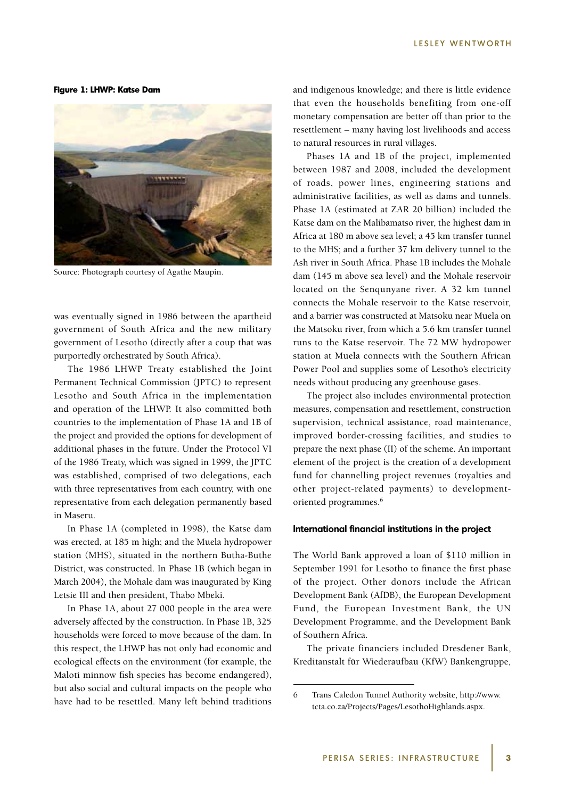**Figure 1: LHWP: Katse Dam**



Source: Photograph courtesy of Agathe Maupin.

was eventually signed in 1986 between the apartheid government of South Africa and the new military government of Lesotho (directly after a coup that was purportedly orchestrated by South Africa).

The 1986 LHWP Treaty established the Joint Permanent Technical Commission (JPTC) to represent Lesotho and South Africa in the implementation and operation of the LHWP. It also committed both countries to the implementation of Phase 1A and 1B of the project and provided the options for development of additional phases in the future. Under the Protocol VI of the 1986 Treaty, which was signed in 1999, the JPTC was established, comprised of two delegations, each with three representatives from each country, with one representative from each delegation permanently based in Maseru.

In Phase 1A (completed in 1998), the Katse dam was erected, at 185 m high; and the Muela hydropower station (MHS), situated in the northern Butha-Buthe District, was constructed. In Phase 1B (which began in March 2004), the Mohale dam was inaugurated by King Letsie III and then president, Thabo Mbeki.

In Phase 1A, about 27 000 people in the area were adversely affected by the construction. In Phase 1B, 325 households were forced to move because of the dam. In this respect, the LHWP has not only had economic and ecological effects on the environment (for example, the Maloti minnow fish species has become endangered), but also social and cultural impacts on the people who have had to be resettled. Many left behind traditions

and indigenous knowledge; and there is little evidence that even the households benefiting from one-off monetary compensation are better off than prior to the resettlement – many having lost livelihoods and access to natural resources in rural villages.

Phases 1A and 1B of the project, implemented between 1987 and 2008, included the development of roads, power lines, engineering stations and administrative facilities, as well as dams and tunnels. Phase 1A (estimated at ZAR 20 billion) included the Katse dam on the Malibamatso river, the highest dam in Africa at 180 m above sea level; a 45 km transfer tunnel to the MHS; and a further 37 km delivery tunnel to the Ash river in South Africa. Phase 1B includes the Mohale dam (145 m above sea level) and the Mohale reservoir located on the Senqunyane river. A 32 km tunnel connects the Mohale reservoir to the Katse reservoir, and a barrier was constructed at Matsoku near Muela on the Matsoku river, from which a 5.6 km transfer tunnel runs to the Katse reservoir. The 72 MW hydropower station at Muela connects with the Southern African Power Pool and supplies some of Lesotho's electricity needs without producing any greenhouse gases.

The project also includes environmental protection measures, compensation and resettlement, construction supervision, technical assistance, road maintenance, improved border-crossing facilities, and studies to prepare the next phase (II) of the scheme. An important element of the project is the creation of a development fund for channelling project revenues (royalties and other project-related payments) to developmentoriented programmes.<sup>6</sup>

#### **International financial institutions in the project**

The World Bank approved a loan of \$110 million in September 1991 for Lesotho to finance the first phase of the project. Other donors include the African Development Bank (AfDB), the European Development Fund, the European Investment Bank, the UN Development Programme, and the Development Bank of Southern Africa.

The private financiers included Dresdener Bank, Kreditanstalt für Wiederaufbau (KfW) Bankengruppe,

<sup>6</sup> Trans Caledon Tunnel Authority website, http://www. tcta.co.za/Projects/Pages/LesothoHighlands.aspx.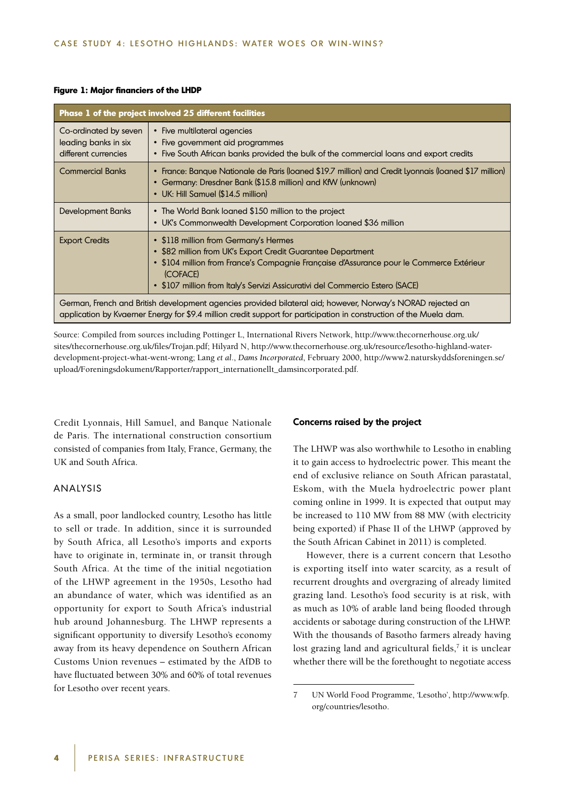#### **Figure 1: Major financiers of the LHDP**

| Phase 1 of the project involved 25 different facilities                                                                                                                                                                            |                                                                                                                                                                                                                                                                                               |
|------------------------------------------------------------------------------------------------------------------------------------------------------------------------------------------------------------------------------------|-----------------------------------------------------------------------------------------------------------------------------------------------------------------------------------------------------------------------------------------------------------------------------------------------|
| Co-ordinated by seven<br>leading banks in six<br>different currencies                                                                                                                                                              | • Five multilateral agencies<br>• Five government aid programmes<br>• Five South African banks provided the bulk of the commercial loans and export credits                                                                                                                                   |
| <b>Commercial Banks</b>                                                                                                                                                                                                            | • France: Banque Nationale de Paris (loaned \$19.7 million) and Credit Lyonnais (loaned \$17 million)<br>• Germany: Dresdner Bank (\$15.8 million) and KfW (unknown)<br>• UK: Hill Samuel (\$14.5 million)                                                                                    |
| Development Banks                                                                                                                                                                                                                  | • The World Bank loaned \$150 million to the project<br>• UK's Commonwealth Development Corporation loaned \$36 million                                                                                                                                                                       |
| <b>Export Credits</b>                                                                                                                                                                                                              | • \$118 million from Germany's Hermes<br>• \$82 million from UK's Export Credit Guarantee Department<br>• \$104 million from France's Compagnie Française d'Assurance pour le Commerce Extérieur<br>(COFACE)<br>• \$107 million from Italy's Servizi Assicurativi del Commercio Estero (SACE) |
| German, French and British development agencies provided bilateral aid; however, Norway's NORAD rejected an<br>application by Kvaerner Energy for \$9.4 million credit support for participation in construction of the Muela dam. |                                                                                                                                                                                                                                                                                               |

Source: Compiled from sources including Pottinger L, International Rivers Network, http://www.thecornerhouse.org.uk/ sites/thecornerhouse.org.uk/files/Trojan.pdf; Hilyard N, http://www.thecornerhouse.org.uk/resource/lesotho-highland-waterdevelopment-project-what-went-wrong; Lang *et al*., *Dams Incorporated*, February 2000, http://www2.naturskyddsforeningen.se/ upload/Foreningsdokument/Rapporter/rapport\_internationellt\_damsincorporated.pdf.

Credit Lyonnais, Hill Samuel, and Banque Nationale de Paris. The international construction consortium consisted of companies from Italy, France, Germany, the UK and South Africa.

### ANALYSIS

As a small, poor landlocked country, Lesotho has little to sell or trade. In addition, since it is surrounded by South Africa, all Lesotho's imports and exports have to originate in, terminate in, or transit through South Africa. At the time of the initial negotiation of the LHWP agreement in the 1950s, Lesotho had an abundance of water, which was identified as an opportunity for export to South Africa's industrial hub around Johannesburg. The LHWP represents a significant opportunity to diversify Lesotho's economy away from its heavy dependence on Southern African Customs Union revenues – estimated by the AfDB to have fluctuated between 30% and 60% of total revenues for Lesotho over recent years.

#### **Concerns raised by the project**

The LHWP was also worthwhile to Lesotho in enabling it to gain access to hydroelectric power. This meant the end of exclusive reliance on South African parastatal, Eskom, with the Muela hydroelectric power plant coming online in 1999. It is expected that output may be increased to 110 MW from 88 MW (with electricity being exported) if Phase II of the LHWP (approved by the South African Cabinet in 2011) is completed.

However, there is a current concern that Lesotho is exporting itself into water scarcity, as a result of recurrent droughts and overgrazing of already limited grazing land. Lesotho's food security is at risk, with as much as 10% of arable land being flooded through accidents or sabotage during construction of the LHWP. With the thousands of Basotho farmers already having lost grazing land and agricultural fields, $<sup>7</sup>$  it is unclear</sup> whether there will be the forethought to negotiate access

<sup>7</sup> UN World Food Programme, 'Lesotho', http://www.wfp. org/countries/lesotho.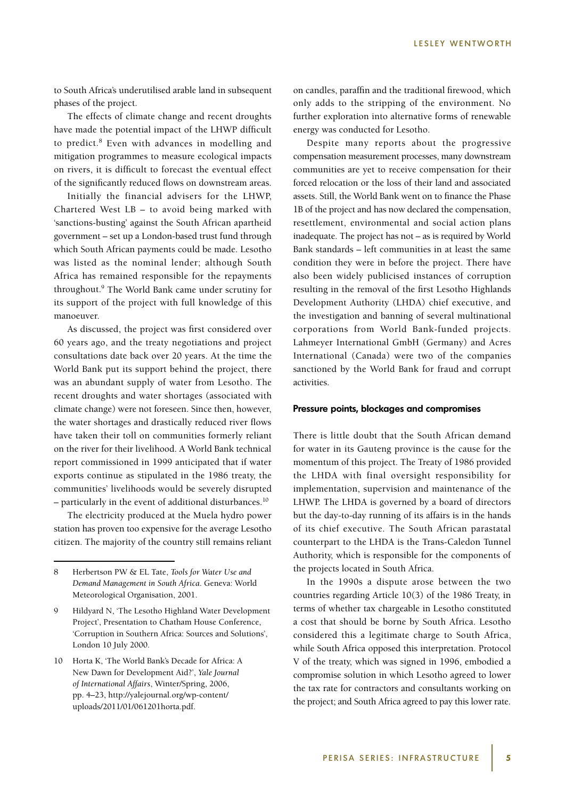to South Africa's underutilised arable land in subsequent phases of the project.

The effects of climate change and recent droughts have made the potential impact of the LHWP difficult to predict.<sup>8</sup> Even with advances in modelling and mitigation programmes to measure ecological impacts on rivers, it is difficult to forecast the eventual effect of the significantly reduced flows on downstream areas.

Initially the financial advisers for the LHWP, Chartered West LB – to avoid being marked with 'sanctions-busting' against the South African apartheid government – set up a London-based trust fund through which South African payments could be made. Lesotho was listed as the nominal lender; although South Africa has remained responsible for the repayments throughout.9 The World Bank came under scrutiny for its support of the project with full knowledge of this manoeuver.

As discussed, the project was first considered over 60 years ago, and the treaty negotiations and project consultations date back over 20 years. At the time the World Bank put its support behind the project, there was an abundant supply of water from Lesotho. The recent droughts and water shortages (associated with climate change) were not foreseen. Since then, however, the water shortages and drastically reduced river flows have taken their toll on communities formerly reliant on the river for their livelihood. A World Bank technical report commissioned in 1999 anticipated that if water exports continue as stipulated in the 1986 treaty, the communities' livelihoods would be severely disrupted – particularly in the event of additional disturbances.10

The electricity produced at the Muela hydro power station has proven too expensive for the average Lesotho citizen. The majority of the country still remains reliant on candles, paraffin and the traditional firewood, which only adds to the stripping of the environment. No further exploration into alternative forms of renewable energy was conducted for Lesotho.

Despite many reports about the progressive compensation measurement processes, many downstream communities are yet to receive compensation for their forced relocation or the loss of their land and associated assets. Still, the World Bank went on to finance the Phase 1B of the project and has now declared the compensation, resettlement, environmental and social action plans inadequate. The project has not – as is required by World Bank standards – left communities in at least the same condition they were in before the project. There have also been widely publicised instances of corruption resulting in the removal of the first Lesotho Highlands Development Authority (LHDA) chief executive, and the investigation and banning of several multinational corporations from World Bank-funded projects. Lahmeyer International GmbH (Germany) and Acres International (Canada) were two of the companies sanctioned by the World Bank for fraud and corrupt activities.

#### **Pressure points, blockages and compromises**

There is little doubt that the South African demand for water in its Gauteng province is the cause for the momentum of this project. The Treaty of 1986 provided the LHDA with final oversight responsibility for implementation, supervision and maintenance of the LHWP. The LHDA is governed by a board of directors but the day-to-day running of its affairs is in the hands of its chief executive. The South African parastatal counterpart to the LHDA is the Trans-Caledon Tunnel Authority, which is responsible for the components of the projects located in South Africa.

In the 1990s a dispute arose between the two countries regarding Article 10(3) of the 1986 Treaty, in terms of whether tax chargeable in Lesotho constituted a cost that should be borne by South Africa. Lesotho considered this a legitimate charge to South Africa, while South Africa opposed this interpretation. Protocol V of the treaty, which was signed in 1996, embodied a compromise solution in which Lesotho agreed to lower the tax rate for contractors and consultants working on the project; and South Africa agreed to pay this lower rate.

<sup>8</sup> Herbertson PW & EL Tate, *Tools for Water Use and Demand Management in South Africa*. Geneva: World Meteorological Organisation, 2001.

<sup>9</sup> Hildyard N, 'The Lesotho Highland Water Development Project', Presentation to Chatham House Conference, 'Corruption in Southern Africa: Sources and Solutions', London 10 July 2000.

<sup>10</sup> Horta K, 'The World Bank's Decade for Africa: A New Dawn for Development Aid?', *Yale Journal of International Affairs*, Winter/Spring, 2006, pp. 4–23, http://yalejournal.org/wp-content/ uploads/2011/01/061201horta.pdf.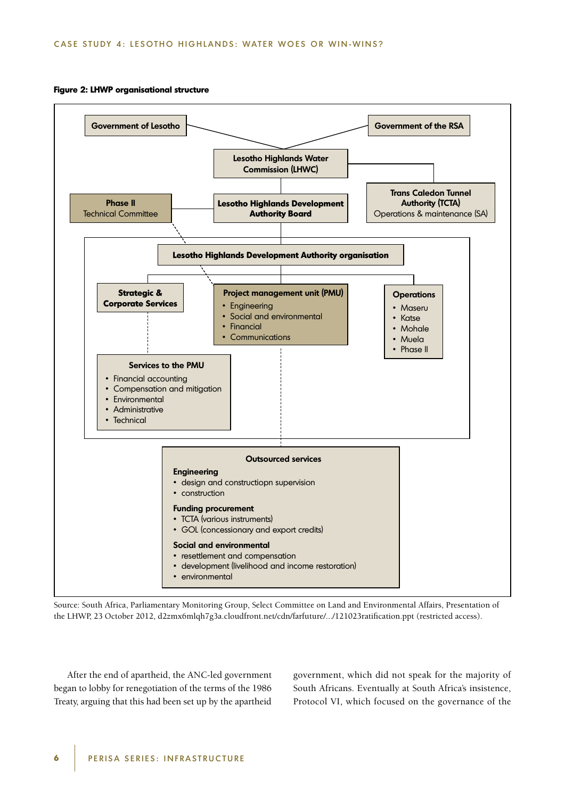#### **Figure 2: LHWP organisational structure**



Source: South Africa, Parliamentary Monitoring Group, Select Committee on Land and Environmental Affairs, Presentation of the LHWP, 23 October 2012, d2zmx6mlqh7g3a.cloudfront.net/cdn/farfuture/.../121023ratification.ppt (restricted access).

After the end of apartheid, the ANC-led government began to lobby for renegotiation of the terms of the 1986 Treaty, arguing that this had been set up by the apartheid government, which did not speak for the majority of South Africans. Eventually at South Africa's insistence, Protocol VI, which focused on the governance of the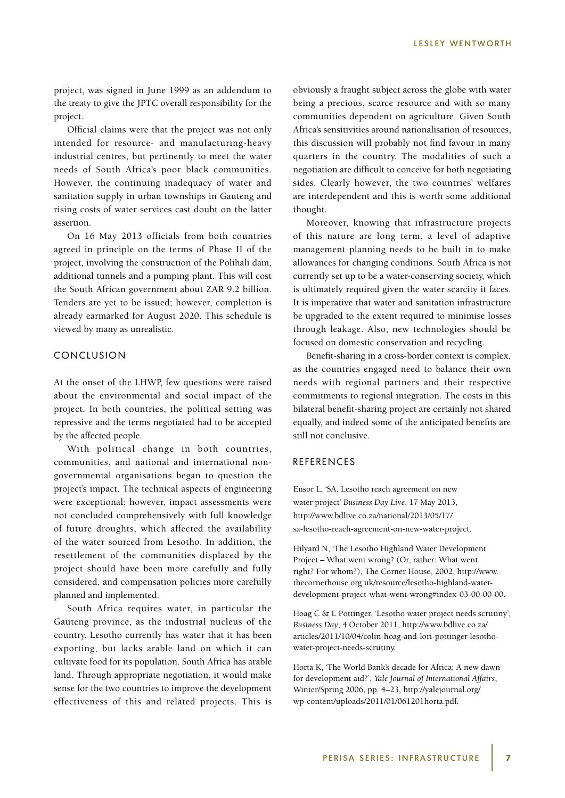project, was signed in June 1999 as an addendum to the treaty to give the JPTC overall responsibility for the project.

Official claims were that the project was not only intended for resource- and manufacturing-heavy industrial centres, but pertinently to meet the water needs of South Africa's poor black communities. However, the continuing inadequacy of water and sanitation supply in urban townships in Gauteng and rising costs of water services cast doubt on the latter assertion.

On 16 May 2013 officials from both countries agreed in principle on the terms of Phase II of the project, involving the construction of the Polihali dam, additional tunnels and a pumping plant. This will cost the South African government about ZAR 9.2 billion. Tenders are yet to be issued; however, completion is already earmarked for August 2020. This schedule is viewed by many as unrealistic.

## CONCLUSION

At the onset of the LHWP, few questions were raised about the environmental and social impact of the project. In both countries, the political setting was repressive and the terms negotiated had to be accepted by the affected people.

With political change in both countries, communities, and national and international nongovernmental organisations began to question the project's impact. The technical aspects of engineering were exceptional; however, impact assessments were not concluded comprehensively with full knowledge of future droughts, which affected the availability of the water sourced from Lesotho. In addition, the resettlement of the communities displaced by the project should have been more carefully and fully considered, and compensation policies more carefully planned and implemented.

South Africa requires water, in particular the Gauteng province, as the industrial nucleus of the country. Lesotho currently has water that it has been exporting, but lacks arable land on which it can cultivate food for its population. South Africa has arable land. Through appropriate negotiation, it would make sense for the two countries to improve the development effectiveness of this and related projects. This is obviously a fraught subject across the globe with water being a precious, scarce resource and with so many communities dependent on agriculture. Given South Africa's sensitivities around nationalisation of resources, this discussion will probably not find favour in many quarters in the country. The modalities of such a negotiation are difficult to conceive for both negotiating sides. Clearly however, the two countries' welfares are interdependent and this is worth some additional thought.

Moreover, knowing that infrastructure projects of this nature are long term, a level of adaptive management planning needs to be built in to make allowances for changing conditions. South Africa is not currently set up to be a water-conserving society, which is ultimately required given the water scarcity it faces. It is imperative that water and sanitation infrastructure be upgraded to the extent required to minimise losses through leakage. Also, new technologies should be focused on domestic conservation and recycling.

Benefit-sharing in a cross-border context is complex, as the countries engaged need to balance their own needs with regional partners and their respective commitments to regional integration. The costs in this bilateral benefit-sharing project are certainly not shared equally, and indeed some of the anticipated benefits are still not conclusive.

## REFERENCES

Ensor L, 'SA, Lesotho reach agreement on new water project' *Business Day Live*, 17 May 2013, http://www.bdlive.co.za/national/2013/05/17/ sa-lesotho-reach-agreement-on-new-water-project.

Hilyard N, 'The Lesotho Highland Water Development Project – What went wrong? (Or, rather: What went right? For whom?), The Corner House, 2002, http://www. thecornerhouse.org.uk/resource/lesotho-highland-waterdevelopment-project-what-went-wrong#index-03-00-00-00.

Hoag C & L Pottinger, 'Lesotho water project needs scrutiny', *Business Day*, 4 October 2011, http://www.bdlive.co.za/ articles/2011/10/04/colin-hoag-and-lori-pottinger-lesothowater-project-needs-scrutiny.

Horta K, 'The World Bank's decade for Africa: A new dawn for development aid?', *Yale Journal of International Affairs*, Winter/Spring 2006, pp. 4–23, http://yalejournal.org/ wp-content/uploads/2011/01/061201horta.pdf.